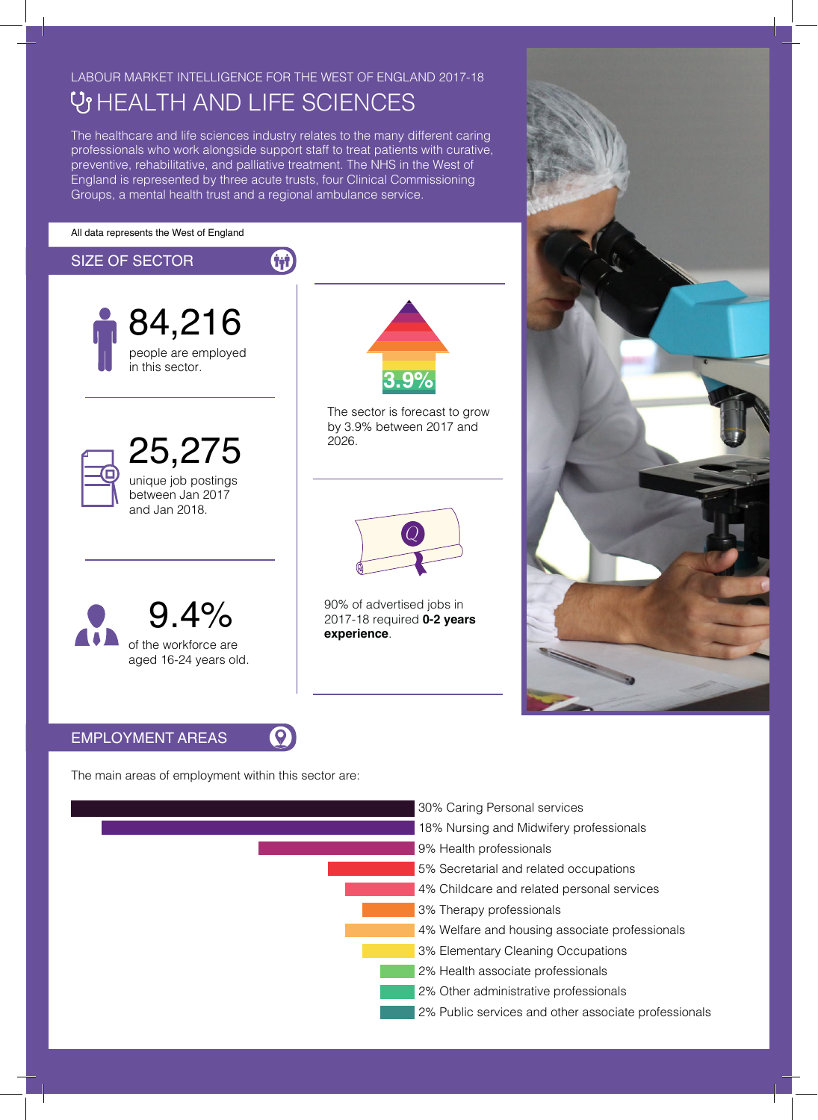# LABOUR MARKET INTELLIGENCE FOR THE WEST OF ENGLAND 2017-18 **V HEALTH AND LIFE SCIENCES**

The healthcare and life sciences industry relates to the many different caring professionals who work alongside support staff to treat patients with curative, preventive, rehabilitative, and palliative treatment. The NHS in the West of England is represented by three acute trusts, four Clinical Commissioning Groups, a mental health trust and a regional ambulance service.

```
All data represents the West of England
```
## th SIZE OF SECTOR 84,216 people are employed in this sector. **3.9%** The sector is forecast to grow by 3.9% between 2017 and 2026. 25,275 unique job postings between Jan 2017 and Jan 2018.  $Q$ 90% of advertised jobs in 9.4% 2017-18 required **0-2 years experience**. of the workforce are aged 16-24 years old.  $\boldsymbol{Q}$ EMPLOYMENT AREAS

The main areas of employment within this sector are: